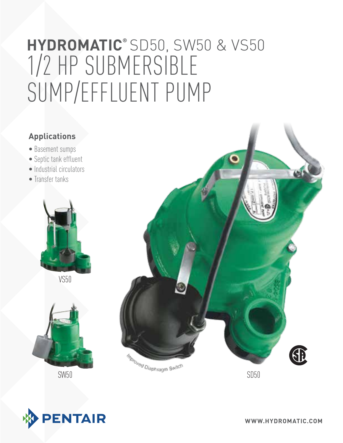# 1/2 HP Submersible Sump/Effluent Pump **hydromatic®** SD50, SW50 & VS50

## **Applications**

- Basement sumps
- Septic tank effluent
- Industrial circulators
- Transfer tanks



VS50